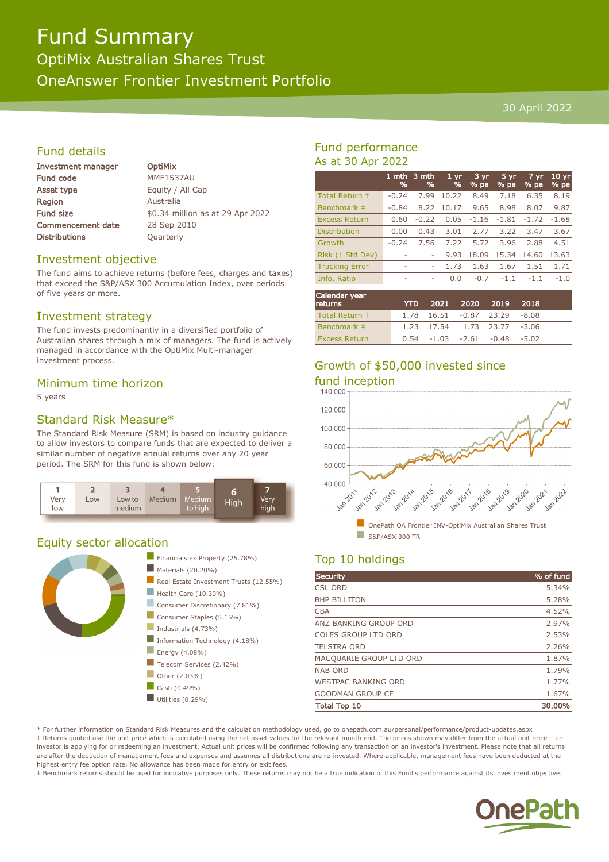# Fund Summary

OptiMix Australian Shares Trust OneAnswer Frontier Investment Portfolio

#### 30 April 2022

#### Fund details

| Investment manager       |  |  |  |
|--------------------------|--|--|--|
| <b>Fund code</b>         |  |  |  |
| <b>Asset type</b>        |  |  |  |
| Region                   |  |  |  |
| <b>Fund size</b>         |  |  |  |
| <b>Commencement date</b> |  |  |  |
| <b>Distributions</b>     |  |  |  |

**OptiMix MMF1537AU** Equity / All Cap **Australia** \$0.34 million as at 29 Apr 2022 28 Sep 2010 **Quarterly** 

#### Investment objective

The fund aims to achieve returns (before fees, charges and taxes) that exceed the S&P/ASX 300 Accumulation Index, over periods of five years or more.

#### Investment strategy

The fund invests predominantly in a diversified portfolio of Australian shares through a mix of managers. The fund is actively managed in accordance with the OptiMix Multi-manager investment process.

#### Minimum time horizon

5 years

#### Standard Risk Measure\*

The Standard Risk Measure (SRM) is based on industry guidance to allow investors to compare funds that are expected to deliver a similar number of negative annual returns over any 20 year period. The SRM for this fund is shown below:



#### Equity sector allocation



#### Fund performance As at 30 Apr 2022

|                       | 1 mth<br>% | 3 mth<br>% | 1 <sub>yr</sub><br>% | $3 \,\mathrm{yr}$<br>% pa | 5 yr<br>% pa | 7 yr<br>% pa | 10 <sub>yr</sub><br>% pa |
|-----------------------|------------|------------|----------------------|---------------------------|--------------|--------------|--------------------------|
| Total Return +        | $-0.24$    | 7.99       | 10.22                | 8.49                      | 7.18         | 6.35         | 8.19                     |
| Benchmark ‡           | $-0.84$    | 8.22       | 10.17                | 9.65                      | 8.98         | 8.07         | 9.87                     |
| <b>Excess Return</b>  | 0.60       | $-0.22$    | 0.05                 | $-1.16$                   | $-1.81$      | $-1.72$      | $-1.68$                  |
| <b>Distribution</b>   | 0.00       | 0.43       | 3.01                 | 2.77                      | 3.22         | 3.47         | 3.67                     |
| Growth                | $-0.24$    | 7.56       | 7.22                 | 5.72                      | 3.96         | 2.88         | 4.51                     |
| Risk (1 Std Dev)      | ۰          |            | 9.93                 | 18.09                     | 15.34        | 14.60        | 13.63                    |
| <b>Tracking Error</b> | ۰          | ۰          | 1.73                 | 1.63                      | 1.67         | 1.51         | 1.71                     |
| Info. Ratio           |            | ٠          | 0.0                  | $-0.7$                    | $-1.1$       | $-1.1$       | $-1.0$                   |
|                       |            |            |                      |                           |              |              |                          |

| Calendar year<br>returns | <b>YTD</b> |  | 2021 2020 2019 2018              |  |
|--------------------------|------------|--|----------------------------------|--|
| Total Return +           |            |  | 1.78  16.51  -0.87  23.29  -8.08 |  |
| Benchmark #              |            |  | 1.23 17.54 1.73 23.77 -3.06      |  |
| <b>Excess Return</b>     |            |  | $0.54 -1.03 -2.61 -0.48 -5.02$   |  |

## Growth of \$50,000 invested since



## Top 10 holdings

| <b>Security</b>            | % of fund |
|----------------------------|-----------|
| <b>CSL ORD</b>             | 5.34%     |
| <b>BHP BILLITON</b>        | 5.28%     |
| <b>CBA</b>                 | 4.52%     |
| ANZ BANKING GROUP ORD      | 2.97%     |
| <b>COLES GROUP LTD ORD</b> | 2.53%     |
| <b>TELSTRA ORD</b>         | 2.26%     |
| MACQUARIE GROUP LTD ORD    | 1.87%     |
| <b>NAB ORD</b>             | 1.79%     |
| <b>WESTPAC BANKING ORD</b> | 1.77%     |
| <b>GOODMAN GROUP CF</b>    | 1.67%     |
| <b>Total Top 10</b>        | 30.00%    |

\* For further information on Standard Risk Measures and the calculation methodology used, go to onepath.com.au/personal/performance/product-updates.aspx † Returns quoted use the unit price which is calculated using the net asset values for the relevant month end. The prices shown may differ from the actual unit price if an investor is applying for or redeeming an investment. Actual unit prices will be confirmed following any transaction on an investor's investment. Please note that all returns are after the deduction of management fees and expenses and assumes all distributions are re-invested. Where applicable, management fees have been deducted at the highest entry fee option rate. No allowance has been made for entry or exit fees.

‡ Benchmark returns should be used for indicative purposes only. These returns may not be a true indication of this Fund's performance against its investment objective.